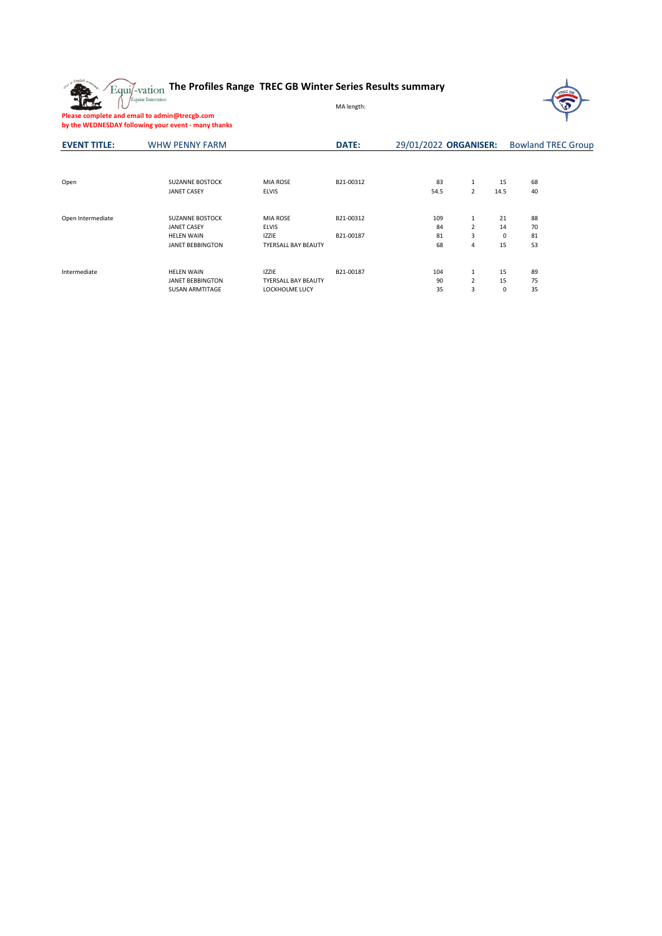The

## **The Profiles Range TREC GB Winter Series Results summary**



**Please complete and email to admin@trecgb.com by the WEDNESDAY following your event - many thanks**

| <b>EVENT TITLE:</b> | <b>WHW PENNY FARM</b>   |                            | DATE:     | 29/01/2022 ORGANISER: | <b>Bowland TREC Group</b> |      |    |  |  |
|---------------------|-------------------------|----------------------------|-----------|-----------------------|---------------------------|------|----|--|--|
|                     |                         |                            |           |                       |                           |      |    |  |  |
| Open                | <b>SUZANNE BOSTOCK</b>  | <b>MIA ROSE</b>            | B21-00312 | 83                    | 1                         | 15   | 68 |  |  |
|                     | <b>JANET CASEY</b>      | <b>ELVIS</b>               |           | 54.5                  | 2                         | 14.5 | 40 |  |  |
| Open Intermediate   | <b>SUZANNE BOSTOCK</b>  | <b>MIA ROSE</b>            | B21-00312 | 109                   | 1                         | 21   | 88 |  |  |
|                     | <b>JANET CASEY</b>      | <b>ELVIS</b>               |           | 84                    | 2                         | 14   | 70 |  |  |
|                     | <b>HELEN WAIN</b>       | <b>IZZIE</b>               | B21-00187 | 81                    | 3                         | 0    | 81 |  |  |
|                     | <b>JANET BEBBINGTON</b> | <b>TYERSALL BAY BEAUTY</b> |           | 68                    | 4                         | 15   | 53 |  |  |
|                     |                         |                            |           | 104                   |                           |      |    |  |  |
| Intermediate        | <b>HELEN WAIN</b>       | <b>IZZIE</b>               | B21-00187 |                       | $\mathbf{1}$              | 15   | 89 |  |  |
|                     | <b>JANET BEBBINGTON</b> | <b>TYERSALL BAY BEAUTY</b> |           | 90                    | $\overline{2}$            | 15   | 75 |  |  |
|                     | <b>SUSAN ARMTITAGE</b>  | LOCKHOLME LUCY             |           | 35                    | 3                         | 0    | 35 |  |  |

MA length: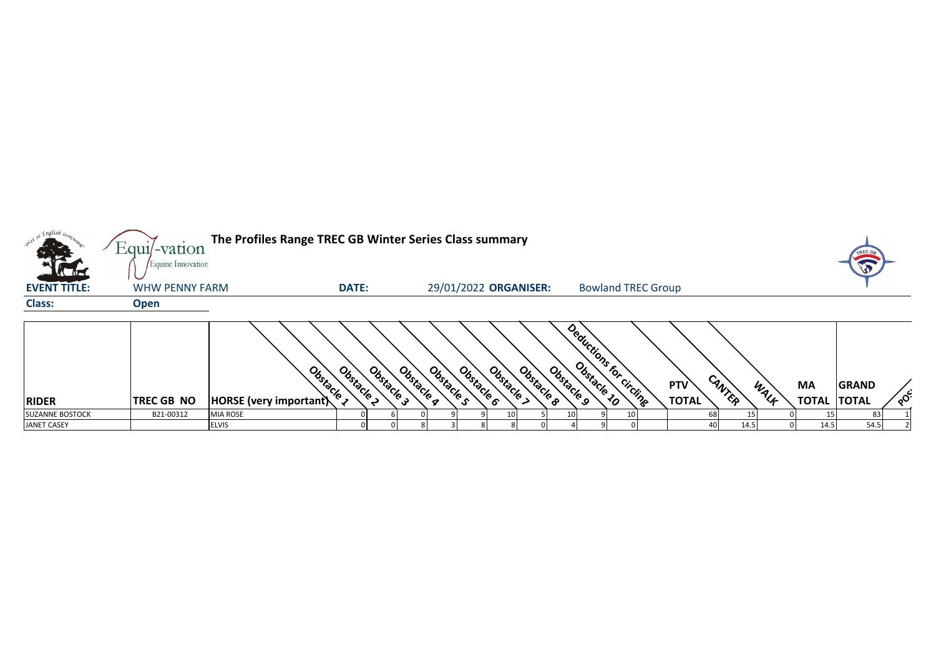|                                        | The Profiles Range TREC GB Winter Series Class summary<br>Equil-vation<br>Equine Innovation |                                                       |              |                          |            |            |                       |            |                       |  |                           |  |                            |              | <b>TREC G.</b> |                           |                                    |         |
|----------------------------------------|---------------------------------------------------------------------------------------------|-------------------------------------------------------|--------------|--------------------------|------------|------------|-----------------------|------------|-----------------------|--|---------------------------|--|----------------------------|--------------|----------------|---------------------------|------------------------------------|---------|
| <b>EVENT TITLE:</b>                    | <b>WHW PENNY FARM</b>                                                                       |                                                       | <b>DATE:</b> |                          |            |            | 29/01/2022 ORGANISER: |            |                       |  | <b>Bowland TREC Group</b> |  |                            |              |                |                           |                                    |         |
| <b>Class:</b>                          | <b>Open</b>                                                                                 |                                                       |              |                          |            |            |                       |            |                       |  |                           |  |                            |              |                |                           |                                    |         |
| <b>RIDER</b><br><b>SUZANNE BOSTOCK</b> | <b>TREC GB NO</b><br>B21-00312                                                              | Obstacle<br>HORSE (very important)<br><b>MIA ROSE</b> | Obstacle     | Obstacle 3<br>Obstacle a | Obstacle s | Obstacle 6 | Obstacle              | Obstacle 8 | Obstacle <sub>9</sub> |  | Deductions for circling   |  | <b>PTV</b><br><b>TOTAL</b> | CANTER<br>68 | WALF           | <b>MA</b><br><b>TOTAL</b> | <b>GRAND</b><br><b>TOTAL</b><br>83 | $\circ$ |
| <b>JANET CASEY</b>                     |                                                                                             | <b>ELVIS</b>                                          |              |                          |            |            |                       |            |                       |  |                           |  |                            | 40<br>14.5   |                | 14.5                      | 54.5                               |         |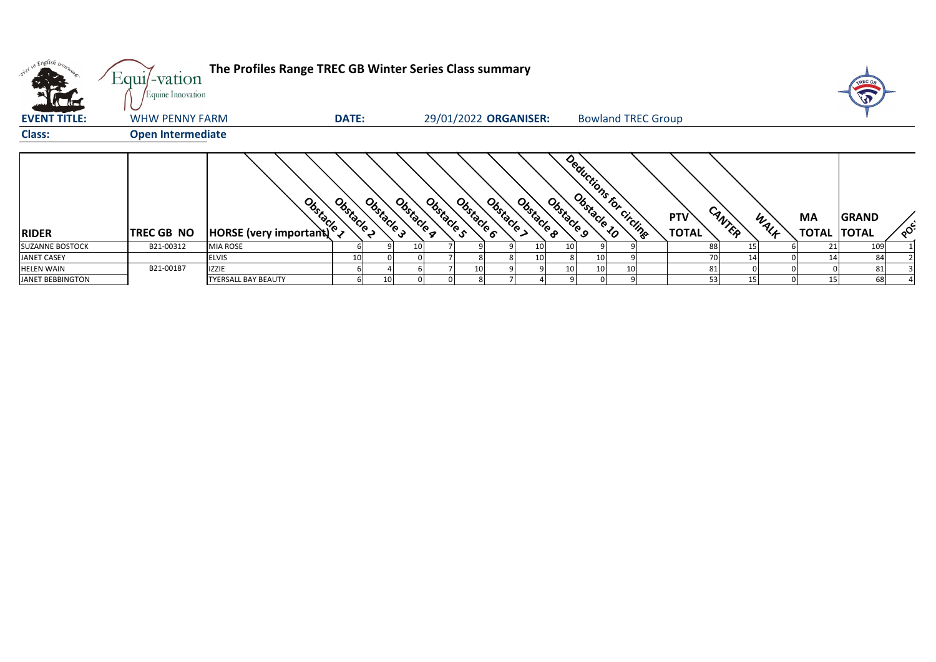| $\sqrt{d}$              | $Equi$ -vation<br>Equine Innovation | The Profiles Range TREC GB Winter Series Class summary |                          |            |                          |                          |                       |                           |                            |        |      |                          | TREC GB      |            |
|-------------------------|-------------------------------------|--------------------------------------------------------|--------------------------|------------|--------------------------|--------------------------|-----------------------|---------------------------|----------------------------|--------|------|--------------------------|--------------|------------|
| <b>EVENT TITLE:</b>     | WHW PENNY FARM                      |                                                        | <b>DATE:</b>             |            | 29/01/2022 ORGANISER:    |                          |                       | <b>Bowland TREC Group</b> |                            |        |      |                          |              |            |
| <b>Class:</b>           | <b>Open Intermediate</b>            |                                                        |                          |            |                          |                          |                       |                           |                            |        |      |                          |              |            |
| <b>RIDER</b>            | <b>TREC GB NO</b>                   | <b>Books</b><br>HORSE (very important) <sup>6</sup>    | Obstacle 2<br>Obstacle 3 | Obstacle a | Obstacle 6<br>Obstacle s | Obstacle 8<br>Obstacle > | Obstacle <sub>9</sub> | Deductions for circling   | <b>PTV</b><br><b>TOTAL</b> | CANTER | WALK | MA<br><b>TOTAL TOTAL</b> | <b>GRAND</b> | <b>OCC</b> |
| <b>SUZANNE BOSTOCK</b>  | B21-00312                           | <b>MIA ROSE</b>                                        |                          |            |                          |                          | 10<br>10              |                           | 88                         |        |      |                          | 109          |            |
| <b>JANET CASEY</b>      |                                     | <b>ELVIS</b>                                           | 10                       |            |                          |                          | 10                    | 10                        |                            | 14     |      |                          | 84           |            |
| <b>HELEN WAIN</b>       | B21-00187                           | <b>IZZIE</b>                                           |                          |            | 10 <sub>1</sub>          |                          | 10                    | 10<br>10                  | 81                         |        |      |                          |              |            |
| <b>JANET BEBBINGTON</b> |                                     | <b>TYERSALL BAY BEAUTY</b>                             |                          |            |                          |                          |                       |                           | 53                         | 15     |      | 15                       | 68           |            |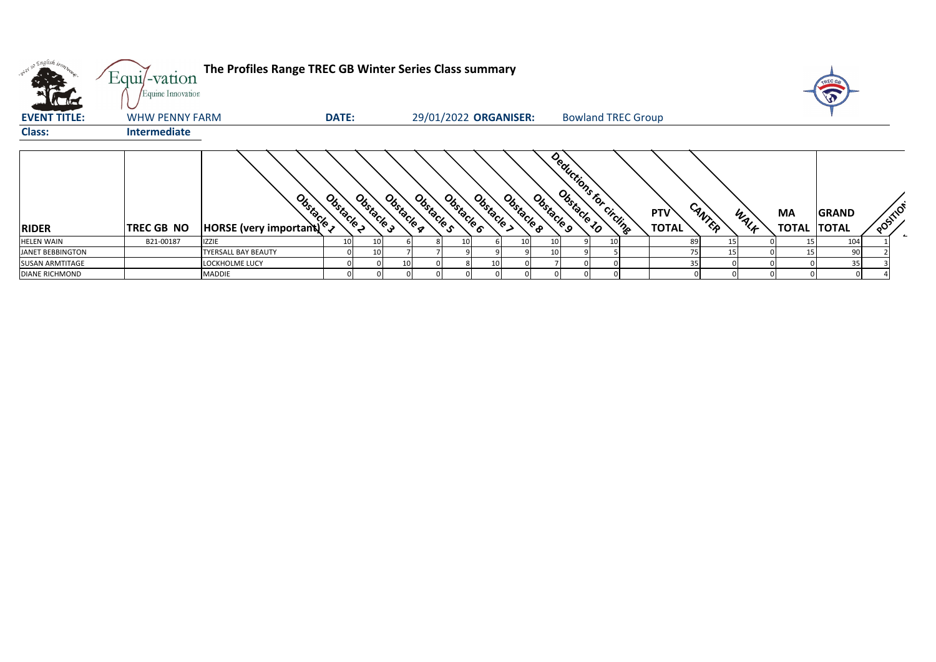| <b>K</b> Ital           | Equi/-vation<br>Equine Innovation | The Profiles Range TREC GB Winter Series Class summary |              |            |            |                          |            |            |                       |                           |                            |        |      |                          | TREC GB      |           |
|-------------------------|-----------------------------------|--------------------------------------------------------|--------------|------------|------------|--------------------------|------------|------------|-----------------------|---------------------------|----------------------------|--------|------|--------------------------|--------------|-----------|
| <b>EVENT TITLE:</b>     | <b>WHW PENNY FARM</b>             |                                                        | <b>DATE:</b> |            |            | 29/01/2022 ORGANISER:    |            |            |                       | <b>Bowland TREC Group</b> |                            |        |      |                          |              |           |
| <b>Class:</b>           | Intermediate                      |                                                        |              |            |            |                          |            |            |                       |                           |                            |        |      |                          |              |           |
| <b>RIDER</b>            | <b>TREC GB NO</b>                 | Obstacle 1<br>HORSE (very important)                   | Obstacle 2   | Obstacle 3 | Obstacle q | Obstacle s<br>Obstacle 6 | Obstacle > | Obstacle 8 | Obstacle <sub>9</sub> | Deductions for circling   | <b>PTV</b><br><b>TOTAL</b> | CANTER | WALK | MA<br><b>TOTAL TOTAL</b> | <b>GRAND</b> | POSITIC'S |
| <b>HELEN WAIN</b>       | B21-00187                         | <b>IZZIE</b>                                           | 10           | 10         |            | 10                       |            | 10         | 10 <sub>l</sub>       |                           |                            | 89     | 15   |                          | 104          |           |
| <b>JANET BEBBINGTON</b> |                                   | <b>TYERSALL BAY BEAUTY</b>                             |              | 10         |            |                          |            |            | 10 <sup>1</sup>       |                           |                            | 75     | 15   |                          | 90           |           |
| <b>SUSAN ARMTITAGE</b>  |                                   | LOCKHOLME LUCY                                         |              |            | 10         |                          | 10         |            |                       |                           |                            |        |      |                          | 35           |           |
| <b>DIANE RICHMOND</b>   |                                   | <b>MADDIE</b>                                          |              |            |            |                          |            |            |                       |                           |                            |        |      |                          |              |           |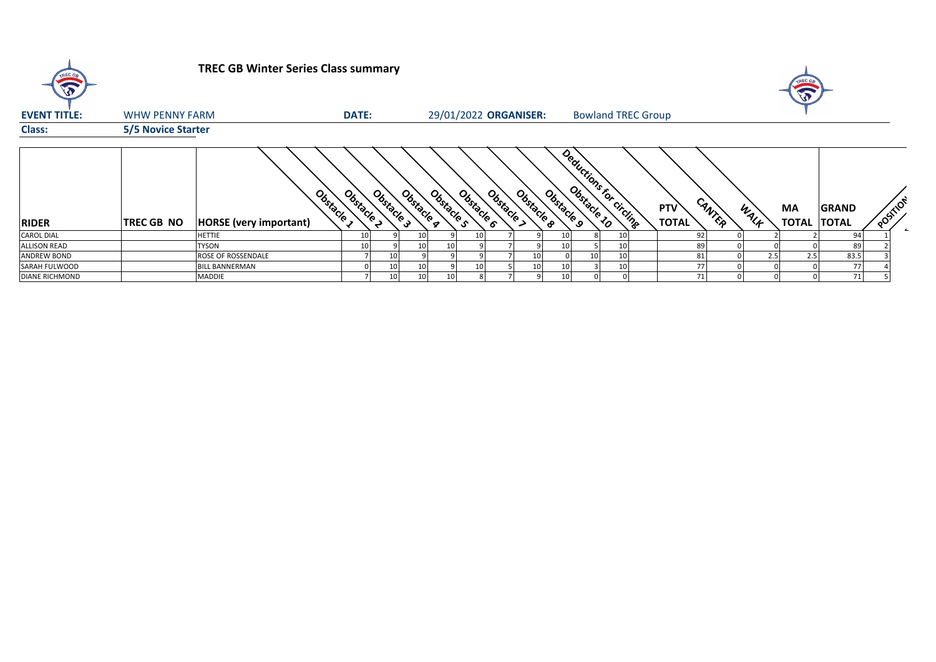| TREC GB               |                           | <b>TREC GB Winter Series Class summary</b> |              |            |                 |                       |    |                          |            |                       |                           |    |                            |        |      | TREC GE<br>E                    |              |          |
|-----------------------|---------------------------|--------------------------------------------|--------------|------------|-----------------|-----------------------|----|--------------------------|------------|-----------------------|---------------------------|----|----------------------------|--------|------|---------------------------------|--------------|----------|
| <b>EVENT TITLE:</b>   | <b>WHW PENNY FARM</b>     |                                            | <b>DATE:</b> |            |                 | 29/01/2022 ORGANISER: |    |                          |            |                       | <b>Bowland TREC Group</b> |    |                            |        |      |                                 |              |          |
| <b>Class:</b>         | <b>5/5 Novice Starter</b> |                                            |              |            |                 |                       |    |                          |            |                       |                           |    |                            |        |      |                                 |              |          |
| <b>RIDER</b>          | <b>TREC GB NO</b>         | Obstacle<br><b>HORSE</b> (very important)  | Obstacle 2   | Obstacle 3 | Obstacle q      | Obstacle s            |    | Obstacle 6<br>Obstacle > | Obstacle 8 | Obstacle <sub>9</sub> | Deductions for circums    |    | <b>PTV</b><br><b>TOTAL</b> | CANTER | WALK | <b>MA</b><br><b>TOTAL TOTAL</b> | <b>GRAND</b> | POSITION |
| <b>CAROL DIAL</b>     |                           | <b>HETTIE</b>                              | 10           |            | 10              |                       |    |                          |            |                       |                           | 10 | 92                         |        |      |                                 | 94           |          |
| <b>ALLISON READ</b>   |                           | <b>TYSON</b>                               |              |            |                 | 10 <sup>1</sup>       |    |                          |            |                       |                           | 10 | 89                         |        |      |                                 | 89           |          |
| <b>ANDREW BOND</b>    |                           | ROSE OF ROSSENDALE                         |              |            |                 |                       |    |                          | 10         |                       | 10                        | 10 | 81                         |        | 2.5  | 2.5                             | 83.5         |          |
| SARAH FULWOOD         |                           | <b>BILL BANNERMAN</b>                      |              | 10         | 10              |                       | 10 |                          | 10         |                       |                           | 10 | 77                         |        |      |                                 | 77           |          |
| <b>DIANE RICHMOND</b> |                           | <b>MADDIE</b>                              |              | 10         | 10 <sub>1</sub> | 10 <sup>1</sup>       |    |                          |            |                       |                           |    | 71                         |        |      |                                 | 71           |          |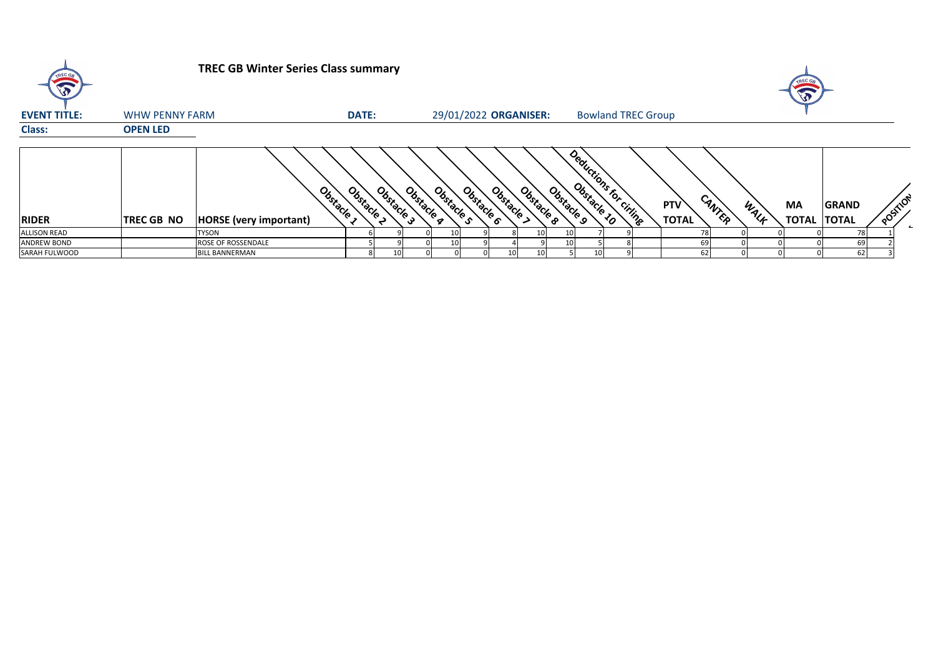| $\sqrt{2}$          |                       | <b>TREC GB Winter Series Class summary</b> |              |            |            |                          |            |            |            |                           |  |                            |        |      | $\sqrt{2}$               |              |          |  |
|---------------------|-----------------------|--------------------------------------------|--------------|------------|------------|--------------------------|------------|------------|------------|---------------------------|--|----------------------------|--------|------|--------------------------|--------------|----------|--|
| <b>EVENT TITLE:</b> | <b>WHW PENNY FARM</b> |                                            | <b>DATE:</b> |            |            | 29/01/2022 ORGANISER:    |            |            |            | <b>Bowland TREC Group</b> |  |                            |        |      |                          |              |          |  |
| <b>Class:</b>       | <b>OPEN LED</b>       |                                            |              |            |            |                          |            |            |            |                           |  |                            |        |      |                          |              |          |  |
| <b>RIDER</b>        | <b>TREC GB NO</b>     | Obstacle<br><b>HORSE</b> (very important)  | Obstacle 2   | Obstacle 3 | Obstacle g | Obstacle 6<br>Obstacle s | Obstacle > | Obstacle 8 | Obstacle 9 | Deductions for criting    |  | <b>PTV</b><br><b>TOTAL</b> | CANTER | WALK | MA<br><b>TOTAL TOTAL</b> | <b>GRAND</b> | POSTILOT |  |
| <b>ALLISON READ</b> |                       | <b>TYSON</b>                               |              |            |            |                          |            | 10         | 10         |                           |  |                            |        |      |                          |              |          |  |
| <b>ANDREW BOND</b>  |                       | ROSE OF ROSSENDALE                         |              |            |            |                          |            |            | 10         |                           |  | 69                         |        |      |                          | 69           |          |  |
| SARAH FULWOOD       |                       | <b>BILL BANNERMAN</b>                      |              | 10         |            |                          |            |            |            |                           |  | 62                         |        |      |                          | 62           |          |  |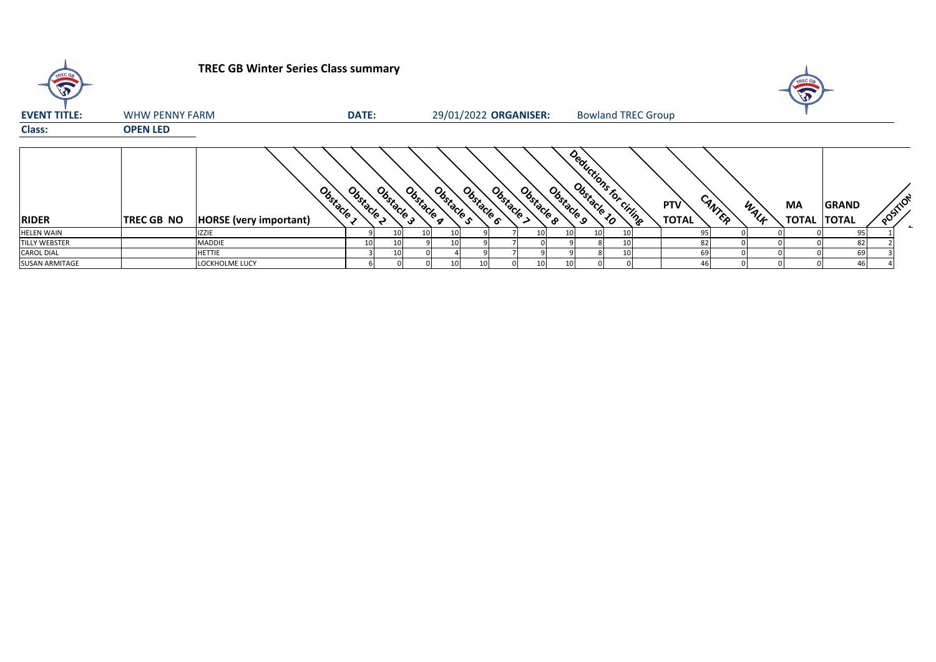| $\sqrt{2}$            |                       | <b>TREC GB Winter Series Class summary</b> |              |            |            |            |                        |                       |            |                           |    |                            |        |      |                           |                              |          |  |
|-----------------------|-----------------------|--------------------------------------------|--------------|------------|------------|------------|------------------------|-----------------------|------------|---------------------------|----|----------------------------|--------|------|---------------------------|------------------------------|----------|--|
| <b>EVENT TITLE:</b>   | <b>WHW PENNY FARM</b> |                                            | <b>DATE:</b> |            |            |            |                        | 29/01/2022 ORGANISER: |            | <b>Bowland TREC Group</b> |    |                            |        |      |                           |                              |          |  |
| <b>Class:</b>         | <b>OPEN LED</b>       |                                            |              |            |            |            |                        |                       |            |                           |    |                            |        |      |                           |                              |          |  |
| <b>RIDER</b>          | TREC GB NO            | Obstacle<br><b>HORSE</b> (very important)  | Obstacle 2   | Obstacle 3 | Obstacle q | Obstacle s | Obstacle 6<br>Obstacle | Obstacle 8            | Obstacle 9 | Deductions for Citing     |    | <b>PTV</b><br><b>TOTAL</b> | CANTER | WALF | <b>MA</b><br><b>TOTAL</b> | <b>GRAND</b><br><b>TOTAL</b> | POSITION |  |
| <b>HELEN WAIN</b>     |                       | <b>IZZIE</b>                               |              | 10         | 10 I       |            |                        | 10                    |            |                           |    |                            |        |      |                           | 95                           |          |  |
| <b>TILLY WEBSTER</b>  |                       | MADDIE                                     | 10           | 10         |            |            |                        |                       |            |                           |    |                            | 82     |      |                           | 82                           |          |  |
| <b>CAROL DIAL</b>     |                       | <b>HETTIE</b>                              |              | 10         |            |            |                        |                       |            |                           | 10 |                            | 69     |      |                           | 69                           |          |  |
| <b>SUSAN ARMITAGE</b> |                       | LOCKHOLME LUCY                             |              |            |            |            |                        | 10                    | 10         |                           |    |                            | 46     |      |                           | 46                           |          |  |